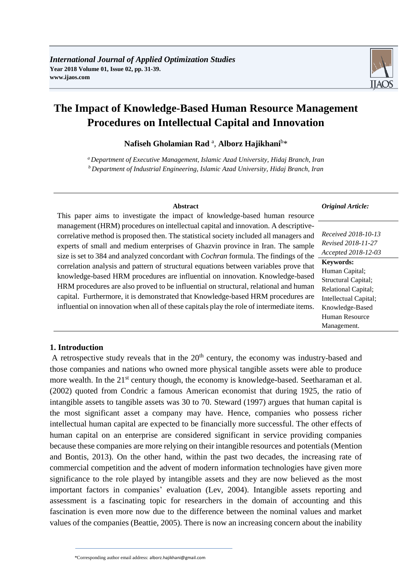# **The Impact of Knowledge-Based Human Resource Management Procedures on Intellectual Capital and Innovation**

**Nafiseh Gholamian Rad** <sup>a</sup> , **Alborz Hajikhani**<sup>b</sup> \*

*<sup>a</sup> Department of Executive Management, Islamic Azad University, Hidaj Branch, Iran <sup>b</sup>Department of Industrial Engineering, Islamic Azad University, Hidaj Branch, Iran*

| <b>Abstract</b>                                                                             | <b>Original Article:</b>   |
|---------------------------------------------------------------------------------------------|----------------------------|
| This paper aims to investigate the impact of knowledge-based human resource                 |                            |
| management (HRM) procedures on intellectual capital and innovation. A descriptive-          |                            |
| correlative method is proposed then. The statistical society included all managers and      | Received 2018-10-13        |
| experts of small and medium enterprises of Ghazvin province in Iran. The sample             | Revised 2018-11-27         |
| size is set to 384 and analyzed concordant with <i>Cochran</i> formula. The findings of the | Accepted 2018-12-03        |
| correlation analysis and pattern of structural equations between variables prove that       | <b>Keywords:</b>           |
| knowledge-based HRM procedures are influential on innovation. Knowledge-based               | Human Capital;             |
|                                                                                             | Structural Capital;        |
| HRM procedures are also proved to be influential on structural, relational and human        | <b>Relational Capital;</b> |
| capital. Furthermore, it is demonstrated that Knowledge-based HRM procedures are            | Intellectual Capital;      |
| influential on innovation when all of these capitals play the role of intermediate items.   | Knowledge-Based            |
|                                                                                             | Human Resource             |
|                                                                                             | Management.                |

#### **1. Introduction**

A retrospective study reveals that in the  $20<sup>th</sup>$  century, the economy was industry-based and those companies and nations who owned more physical tangible assets were able to produce more wealth. In the 21<sup>st</sup> century though, the economy is knowledge-based. Seetharaman et al. (2002) quoted from Condric a famous American economist that during 1925, the ratio of intangible assets to tangible assets was 30 to 70. Steward (1997) argues that human capital is the most significant asset a company may have. Hence, companies who possess richer intellectual human capital are expected to be financially more successful. The other effects of human capital on an enterprise are considered significant in service providing companies because these companies are more relying on their intangible resources and potentials (Mention and Bontis, 2013). On the other hand, within the past two decades, the increasing rate of commercial competition and the advent of modern information technologies have given more significance to the role played by intangible assets and they are now believed as the most important factors in companies' evaluation (Lev, 2004). Intangible assets reporting and assessment is a fascinating topic for researchers in the domain of accounting and this fascination is even more now due to the difference between the nominal values and market values of the companies (Beattie, 2005). There is now an increasing concern about the inability

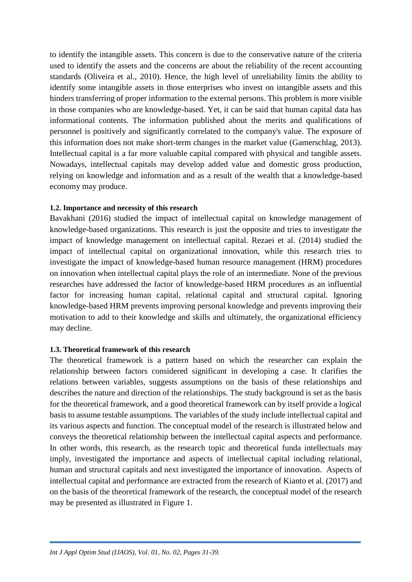to identify the intangible assets. This concern is due to the conservative nature of the criteria used to identify the assets and the concerns are about the reliability of the recent accounting standards (Oliveira et al., 2010). Hence, the high level of unreliability limits the ability to identify some intangible assets in those enterprises who invest on intangible assets and this hinders transferring of proper information to the external persons. This problem is more visible in those companies who are knowledge-based. Yet, it can be said that human capital data has informational contents. The information published about the merits and qualifications of personnel is positively and significantly correlated to the company's value. The exposure of this information does not make short-term changes in the market value (Gamerschlag, 2013). Intellectual capital is a far more valuable capital compared with physical and tangible assets. Nowadays, intellectual capitals may develop added value and domestic gross production, relying on knowledge and information and as a result of the wealth that a knowledge-based economy may produce.

#### **1.2. Importance and necessity of this research**

Bavakhani (2016) studied the impact of intellectual capital on knowledge management of knowledge-based organizations. This research is just the opposite and tries to investigate the impact of knowledge management on intellectual capital. Rezaei et al. (2014) studied the impact of intellectual capital on organizational innovation, while this research tries to investigate the impact of knowledge-based human resource management (HRM) procedures on innovation when intellectual capital plays the role of an intermediate. None of the previous researches have addressed the factor of knowledge-based HRM procedures as an influential factor for increasing human capital, relational capital and structural capital. Ignoring knowledge-based HRM prevents improving personal knowledge and prevents improving their motivation to add to their knowledge and skills and ultimately, the organizational efficiency may decline.

#### **1.3. Theoretical framework of this research**

The theoretical framework is a pattern based on which the researcher can explain the relationship between factors considered significant in developing a case. It clarifies the relations between variables, suggests assumptions on the basis of these relationships and describes the nature and direction of the relationships. The study background is set as the basis for the theoretical framework, and a good theoretical framework can by itself provide a logical basis to assume testable assumptions. The variables of the study include intellectual capital and its various aspects and function. The conceptual model of the research is illustrated below and conveys the theoretical relationship between the intellectual capital aspects and performance. In other words, this research, as the research topic and theoretical funda intellectuals may imply, investigated the importance and aspects of intellectual capital including relational, human and structural capitals and next investigated the importance of innovation. Aspects of intellectual capital and performance are extracted from the research of Kianto et al. (2017) and on the basis of the theoretical framework of the research, the conceptual model of the research may be presented as illustrated in Figure 1.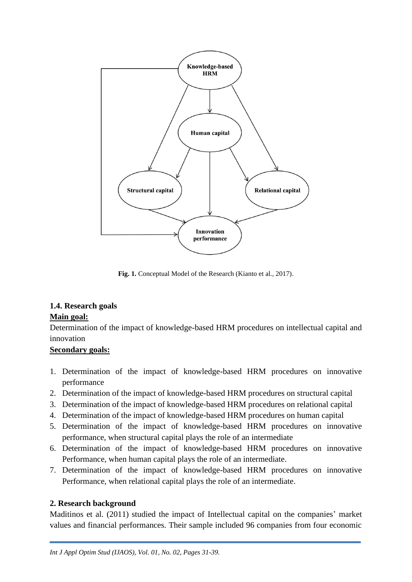

**Fig. 1.** Conceptual Model of the Research (Kianto et al., 2017).

## **1.4. Research goals**

#### **Main goal:**

Determination of the impact of knowledge-based HRM procedures on intellectual capital and innovation

#### **Secondary goals:**

- 1. Determination of the impact of knowledge-based HRM procedures on innovative performance
- 2. Determination of the impact of knowledge-based HRM procedures on structural capital
- 3. Determination of the impact of knowledge-based HRM procedures on relational capital
- 4. Determination of the impact of knowledge-based HRM procedures on human capital
- 5. Determination of the impact of knowledge-based HRM procedures on innovative performance, when structural capital plays the role of an intermediate
- 6. Determination of the impact of knowledge-based HRM procedures on innovative Performance, when human capital plays the role of an intermediate.
- 7. Determination of the impact of knowledge-based HRM procedures on innovative Performance, when relational capital plays the role of an intermediate.

### **2. Research background**

Maditinos et al. (2011) studied the impact of Intellectual capital on the companies' market values and financial performances. Their sample included 96 companies from four economic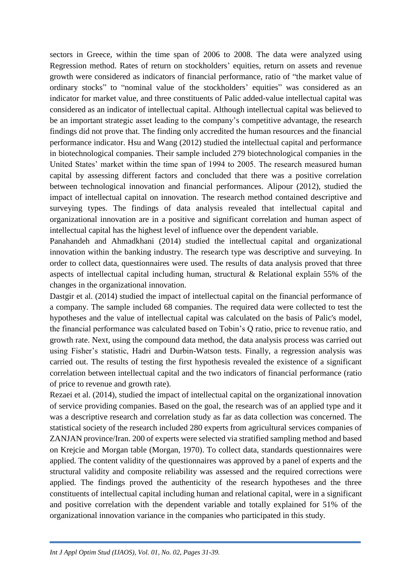sectors in Greece, within the time span of 2006 to 2008. The data were analyzed using Regression method. Rates of return on stockholders' equities, return on assets and revenue growth were considered as indicators of financial performance, ratio of "the market value of ordinary stocks" to "nominal value of the stockholders' equities" was considered as an indicator for market value, and three constituents of Palic added-value intellectual capital was considered as an indicator of intellectual capital. Although intellectual capital was believed to be an important strategic asset leading to the company's competitive advantage, the research findings did not prove that. The finding only accredited the human resources and the financial performance indicator. Hsu and Wang (2012) studied the intellectual capital and performance in biotechnological companies. Their sample included 279 biotechnological companies in the United States' market within the time span of 1994 to 2005. The research measured human capital by assessing different factors and concluded that there was a positive correlation between technological innovation and financial performances. Alipour (2012), studied the impact of intellectual capital on innovation. The research method contained descriptive and surveying types. The findings of data analysis revealed that intellectual capital and organizational innovation are in a positive and significant correlation and human aspect of intellectual capital has the highest level of influence over the dependent variable.

Panahandeh and Ahmadkhani (2014) studied the intellectual capital and organizational innovation within the banking industry. The research type was descriptive and surveying. In order to collect data, questionnaires were used. The results of data analysis proved that three aspects of intellectual capital including human, structural & Relational explain 55% of the changes in the organizational innovation.

Dastgir et al. (2014) studied the impact of intellectual capital on the financial performance of a company. The sample included 68 companies. The required data were collected to test the hypotheses and the value of intellectual capital was calculated on the basis of Palic's model, the financial performance was calculated based on Tobin's Q ratio, price to revenue ratio, and growth rate. Next, using the compound data method, the data analysis process was carried out using Fisher's statistic, Hadri and Durbin-Watson tests. Finally, a regression analysis was carried out. The results of testing the first hypothesis revealed the existence of a significant correlation between intellectual capital and the two indicators of financial performance (ratio of price to revenue and growth rate).

Rezaei et al. (2014), studied the impact of intellectual capital on the organizational innovation of service providing companies. Based on the goal, the research was of an applied type and it was a descriptive research and correlation study as far as data collection was concerned. The statistical society of the research included 280 experts from agricultural services companies of ZANJAN province/Iran. 200 of experts were selected via stratified sampling method and based on Krejcie and Morgan table (Morgan, 1970). To collect data, standards questionnaires were applied. The content validity of the questionnaires was approved by a panel of experts and the structural validity and composite reliability was assessed and the required corrections were applied. The findings proved the authenticity of the research hypotheses and the three constituents of intellectual capital including human and relational capital, were in a significant and positive correlation with the dependent variable and totally explained for 51% of the organizational innovation variance in the companies who participated in this study.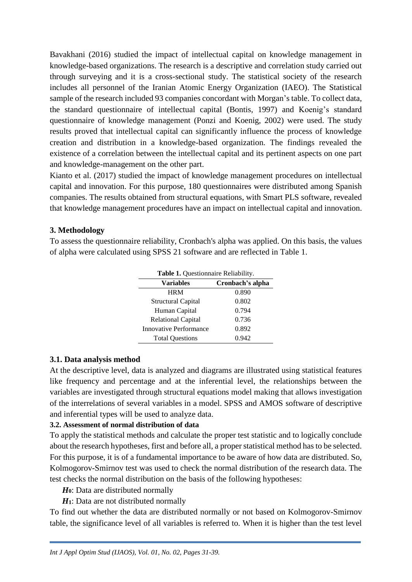Bavakhani (2016) studied the impact of intellectual capital on knowledge management in knowledge-based organizations. The research is a descriptive and correlation study carried out through surveying and it is a cross-sectional study. The statistical society of the research includes all personnel of the Iranian Atomic Energy Organization (IAEO). The Statistical sample of the research included 93 companies concordant with Morgan's table. To collect data, the standard questionnaire of intellectual capital (Bontis, 1997) and Koenig's standard questionnaire of knowledge management (Ponzi and Koenig, 2002) were used. The study results proved that intellectual capital can significantly influence the process of knowledge creation and distribution in a knowledge-based organization. The findings revealed the existence of a correlation between the intellectual capital and its pertinent aspects on one part and knowledge-management on the other part.

Kianto et al. (2017) studied the impact of knowledge management procedures on intellectual capital and innovation. For this purpose, 180 questionnaires were distributed among Spanish companies. The results obtained from structural equations, with Smart PLS software, revealed that knowledge management procedures have an impact on intellectual capital and innovation.

#### **3. Methodology**

To assess the questionnaire reliability, Cronbach's alpha was applied. On this basis, the values of alpha were calculated using SPSS 21 software and are reflected in Table 1.

| <b>Table 1.</b> Questionnaire Reliability. |                  |  |  |  |
|--------------------------------------------|------------------|--|--|--|
| <b>Variables</b>                           | Cronbach's alpha |  |  |  |
| <b>HRM</b>                                 | 0.890            |  |  |  |
| <b>Structural Capital</b>                  | 0.802            |  |  |  |
| Human Capital                              | 0.794            |  |  |  |
| Relational Capital                         | 0.736            |  |  |  |
| Innovative Performance                     | 0.892            |  |  |  |
| <b>Total Questions</b>                     | 0.942            |  |  |  |

#### **3.1. Data analysis method**

At the descriptive level, data is analyzed and diagrams are illustrated using statistical features like frequency and percentage and at the inferential level, the relationships between the variables are investigated through structural equations model making that allows investigation of the interrelations of several variables in a model. SPSS and AMOS software of descriptive and inferential types will be used to analyze data.

#### **3.2. Assessment of normal distribution of data**

To apply the statistical methods and calculate the proper test statistic and to logically conclude about the research hypotheses, first and before all, a proper statistical method has to be selected. For this purpose, it is of a fundamental importance to be aware of how data are distributed. So, Kolmogorov-Smirnov test was used to check the normal distribution of the research data. The test checks the normal distribution on the basis of the following hypotheses:

*H***0**: Data are distributed normally

*H***1**: Data are not distributed normally

To find out whether the data are distributed normally or not based on Kolmogorov-Smirnov table, the significance level of all variables is referred to. When it is higher than the test level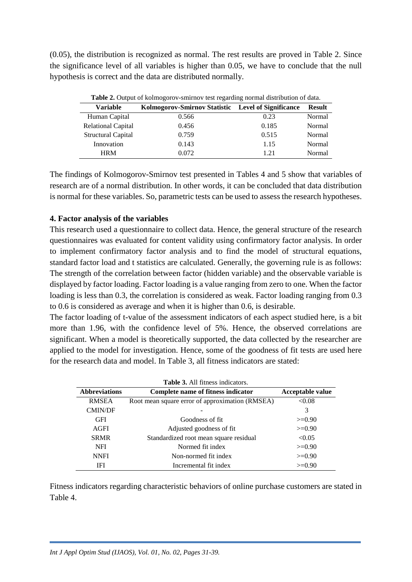(0.05), the distribution is recognized as normal. The rest results are proved in Table 2. Since the significance level of all variables is higher than 0.05, we have to conclude that the null hypothesis is correct and the data are distributed normally.

| <b>Table 2.</b> Output of Kolmogorov-smirnov lest regarding normal distribution of data. |       |       |               |  |
|------------------------------------------------------------------------------------------|-------|-------|---------------|--|
| Kolmogorov-Smirnov Statistic Level of Significance<br>Variable                           |       |       | <b>Result</b> |  |
| Human Capital                                                                            | 0.566 | 0.23  | Normal        |  |
| <b>Relational Capital</b>                                                                | 0.456 | 0.185 | Normal        |  |
| <b>Structural Capital</b>                                                                | 0.759 | 0.515 | Normal        |  |
| Innovation                                                                               | 0.143 | 1.15  | Normal        |  |
| <b>HRM</b>                                                                               | 0.072 | 1 21  | Normal        |  |

**Table 2.** Output of kolmogorov-smirnov test regarding normal distribution of data.

The findings of Kolmogorov-Smirnov test presented in Tables 4 and 5 show that variables of research are of a normal distribution. In other words, it can be concluded that data distribution is normal for these variables. So, parametric tests can be used to assess the research hypotheses.

#### **4. Factor analysis of the variables**

This research used a questionnaire to collect data. Hence, the general structure of the research questionnaires was evaluated for content validity using confirmatory factor analysis. In order to implement confirmatory factor analysis and to find the model of structural equations, standard factor load and t statistics are calculated. Generally, the governing rule is as follows: The strength of the correlation between factor (hidden variable) and the observable variable is displayed by factor loading. Factor loading is a value ranging from zero to one. When the factor loading is less than 0.3, the correlation is considered as weak. Factor loading ranging from 0.3 to 0.6 is considered as average and when it is higher than 0.6, is desirable.

The factor loading of t-value of the assessment indicators of each aspect studied here, is a bit more than 1.96, with the confidence level of 5%. Hence, the observed correlations are significant. When a model is theoretically supported, the data collected by the researcher are applied to the model for investigation. Hence, some of the goodness of fit tests are used here for the research data and model. In Table 3, all fitness indicators are stated:

| <b>Table 3.</b> All fitness indicators. |                                                 |          |  |  |
|-----------------------------------------|-------------------------------------------------|----------|--|--|
| <b>Abbreviations</b>                    | <b>Acceptable value</b>                         |          |  |  |
| <b>RMSEA</b>                            | Root mean square error of approximation (RMSEA) | < 0.08   |  |  |
| <b>CMIN/DF</b>                          |                                                 | 3        |  |  |
| <b>GFI</b>                              | Goodness of fit                                 | $>=0.90$ |  |  |
| <b>AGFI</b>                             | Adjusted goodness of fit.                       | $>=0.90$ |  |  |
| <b>SRMR</b>                             | Standardized root mean square residual          | < 0.05   |  |  |
| <b>NFI</b>                              | Normed fit index                                | $>=0.90$ |  |  |
| <b>NNFI</b>                             | Non-normed fit index                            | $>=0.90$ |  |  |
| IFI                                     | Incremental fit index                           | $>=0.90$ |  |  |

Fitness indicators regarding characteristic behaviors of online purchase customers are stated in Table 4.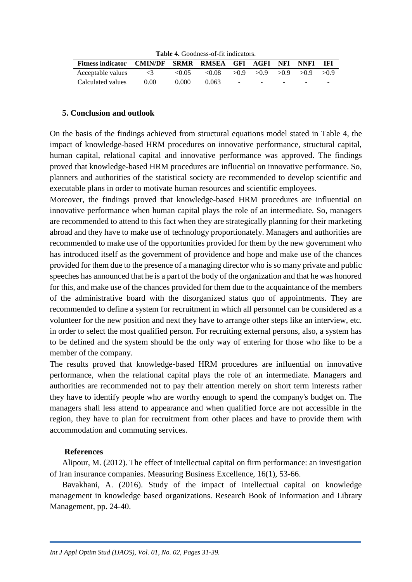| <b>Table 4.</b> Goodness-of-fit indicators.            |          |       |       |  |                                              |  |  |       |
|--------------------------------------------------------|----------|-------|-------|--|----------------------------------------------|--|--|-------|
| Fitness indicator CMIN/DF SRMR RMSEA GFI AGFI NFI NNFI |          |       |       |  |                                              |  |  | - IFI |
| Acceptable values                                      | $\leq$ 3 | <0.05 | &0.08 |  | $>0.9$ $>0.9$ $>0.9$ $>0.9$ $>0.9$ $>0.9$    |  |  |       |
| Calculated values                                      | 0.00     | 0.000 | 0.063 |  | the control of the control of the control of |  |  | -     |

#### **Table 4.** Goodness-of-fit indicators.

#### **5. Conclusion and outlook**

On the basis of the findings achieved from structural equations model stated in Table 4, the impact of knowledge-based HRM procedures on innovative performance, structural capital, human capital, relational capital and innovative performance was approved. The findings proved that knowledge-based HRM procedures are influential on innovative performance. So, planners and authorities of the statistical society are recommended to develop scientific and executable plans in order to motivate human resources and scientific employees.

Moreover, the findings proved that knowledge-based HRM procedures are influential on innovative performance when human capital plays the role of an intermediate. So, managers are recommended to attend to this fact when they are strategically planning for their marketing abroad and they have to make use of technology proportionately. Managers and authorities are recommended to make use of the opportunities provided for them by the new government who has introduced itself as the government of providence and hope and make use of the chances provided for them due to the presence of a managing director who is so many private and public speeches has announced that he is a part of the body of the organization and that he was honored for this, and make use of the chances provided for them due to the acquaintance of the members of the administrative board with the disorganized status quo of appointments. They are recommended to define a system for recruitment in which all personnel can be considered as a volunteer for the new position and next they have to arrange other steps like an interview, etc. in order to select the most qualified person. For recruiting external persons, also, a system has to be defined and the system should be the only way of entering for those who like to be a member of the company.

The results proved that knowledge-based HRM procedures are influential on innovative performance, when the relational capital plays the role of an intermediate. Managers and authorities are recommended not to pay their attention merely on short term interests rather they have to identify people who are worthy enough to spend the company's budget on. The managers shall less attend to appearance and when qualified force are not accessible in the region, they have to plan for recruitment from other places and have to provide them with accommodation and commuting services.

#### **References**

Alipour, M. (2012). The effect of intellectual capital on firm performance: an investigation of Iran insurance companies. Measuring Business Excellence, 16(1), 53-66.

Bavakhani, A. (2016). Study of the impact of intellectual capital on knowledge management in knowledge based organizations. Research Book of Information and Library Management, pp. 24-40.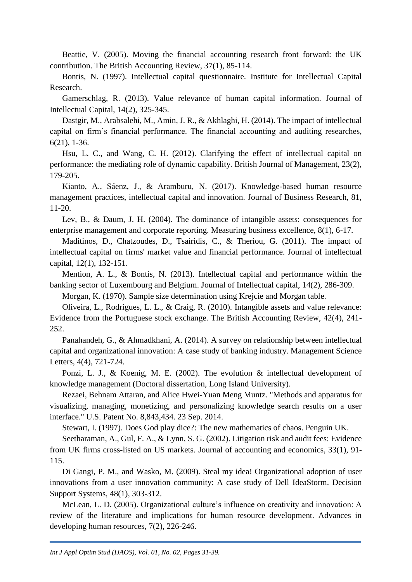Beattie, V. (2005). Moving the financial accounting research front forward: the UK contribution. The British Accounting Review, 37(1), 85-114.

Bontis, N. (1997). Intellectual capital questionnaire. Institute for Intellectual Capital Research.

Gamerschlag, R. (2013). Value relevance of human capital information. Journal of Intellectual Capital, 14(2), 325-345.

Dastgir, M., Arabsalehi, M., Amin, J. R., & Akhlaghi, H. (2014). The impact of intellectual capital on firm's financial performance. The financial accounting and auditing researches, 6(21), 1-36.

Hsu, L. C., and Wang, C. H. (2012). Clarifying the effect of intellectual capital on performance: the mediating role of dynamic capability. British Journal of Management, 23(2), 179-205.

Kianto, A., Sáenz, J., & Aramburu, N. (2017). Knowledge-based human resource management practices, intellectual capital and innovation. Journal of Business Research, 81, 11-20.

Lev, B., & Daum, J. H. (2004). The dominance of intangible assets: consequences for enterprise management and corporate reporting. Measuring business excellence, 8(1), 6-17.

Maditinos, D., Chatzoudes, D., Tsairidis, C., & Theriou, G. (2011). The impact of intellectual capital on firms' market value and financial performance. Journal of intellectual capital, 12(1), 132-151.

Mention, A. L., & Bontis, N. (2013). Intellectual capital and performance within the banking sector of Luxembourg and Belgium. Journal of Intellectual capital, 14(2), 286-309.

Morgan, K. (1970). Sample size determination using Krejcie and Morgan table.

Oliveira, L., Rodrigues, L. L., & Craig, R. (2010). Intangible assets and value relevance: Evidence from the Portuguese stock exchange. The British Accounting Review, 42(4), 241- 252.

Panahandeh, G., & Ahmadkhani, A. (2014). A survey on relationship between intellectual capital and organizational innovation: A case study of banking industry. Management Science Letters, 4(4), 721-724.

Ponzi, L. J., & Koenig, M. E. (2002). The evolution & intellectual development of knowledge management (Doctoral dissertation, Long Island University).

Rezaei, Behnam Attaran, and Alice Hwei-Yuan Meng Muntz. "Methods and apparatus for visualizing, managing, monetizing, and personalizing knowledge search results on a user interface." U.S. Patent No. 8,843,434. 23 Sep. 2014.

Stewart, I. (1997). Does God play dice?: The new mathematics of chaos. Penguin UK.

Seetharaman, A., Gul, F. A., & Lynn, S. G. (2002). Litigation risk and audit fees: Evidence from UK firms cross-listed on US markets. Journal of accounting and economics, 33(1), 91- 115.

Di Gangi, P. M., and Wasko, M. (2009). Steal my idea! Organizational adoption of user innovations from a user innovation community: A case study of Dell IdeaStorm. Decision Support Systems, 48(1), 303-312.

McLean, L. D. (2005). Organizational culture's influence on creativity and innovation: A review of the literature and implications for human resource development. Advances in developing human resources, 7(2), 226-246.